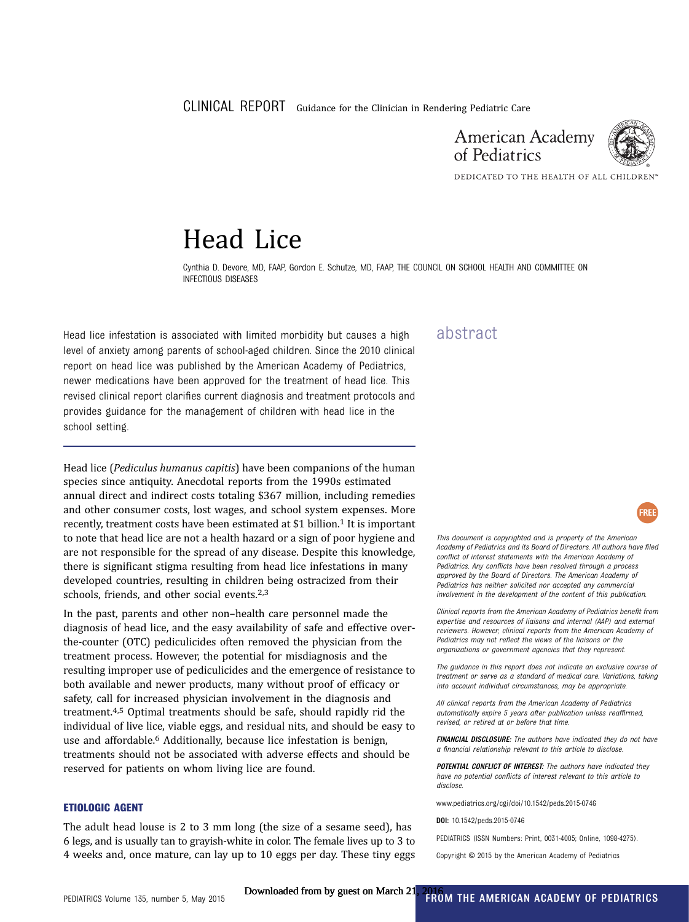CLINICAL REPORT Guidance for the Clinician in Rendering Pediatric Care

**American Academy** of Pediatrics



FRF

DEDICATED TO THE HEALTH OF ALL CHILDREN'

## Head Lice

Cynthia D. Devore, MD, FAAP, Gordon E. Schutze, MD, FAAP, THE COUNCIL ON SCHOOL HEALTH AND COMMITTEE ON INFECTIOUS DISEASES

Head lice infestation is associated with limited morbidity but causes a high  $a$  abstract level of anxiety among parents of school-aged children. Since the 2010 clinical report on head lice was published by the American Academy of Pediatrics, newer medications have been approved for the treatment of head lice. This revised clinical report clarifies current diagnosis and treatment protocols and provides guidance for the management of children with head lice in the school setting.

Head lice (Pediculus humanus capitis) have been companions of the human species since antiquity. Anecdotal reports from the 1990s estimated annual direct and indirect costs totaling \$367 million, including remedies and other consumer costs, lost wages, and school system expenses. More recently, treatment costs have been estimated at \$1 billion.<sup>1</sup> It is important to note that head lice are not a health hazard or a sign of poor hygiene and are not responsible for the spread of any disease. Despite this knowledge, there is significant stigma resulting from head lice infestations in many developed countries, resulting in children being ostracized from their schools, friends, and other social events.<sup>2,3</sup>

In the past, parents and other non–health care personnel made the diagnosis of head lice, and the easy availability of safe and effective overthe-counter (OTC) pediculicides often removed the physician from the treatment process. However, the potential for misdiagnosis and the resulting improper use of pediculicides and the emergence of resistance to both available and newer products, many without proof of efficacy or safety, call for increased physician involvement in the diagnosis and treatment.4,5 Optimal treatments should be safe, should rapidly rid the individual of live lice, viable eggs, and residual nits, and should be easy to use and affordable.6 Additionally, because lice infestation is benign, treatments should not be associated with adverse effects and should be reserved for patients on whom living lice are found.

#### ETIOLOGIC AGENT

The adult head louse is 2 to 3 mm long (the size of a sesame seed), has 6 legs, and is usually tan to grayish-white in color. The female lives up to 3 to 4 weeks and, once mature, can lay up to 10 eggs per day. These tiny eggs

This document is copyrighted and is property of the American Academy of Pediatrics and its Board of Directors. All authors have filed conflict of interest statements with the American Academy of Pediatrics. Any conflicts have been resolved through a process approved by the Board of Directors. The American Academy of Pediatrics has neither solicited nor accepted any commercial involvement in the development of the content of this publication.

Clinical reports from the American Academy of Pediatrics benefit from expertise and resources of liaisons and internal (AAP) and external reviewers. However, clinical reports from the American Academy of Pediatrics may not reflect the views of the liaisons or the organizations or government agencies that they represent.

The guidance in this report does not indicate an exclusive course of treatment or serve as a standard of medical care. Variations, taking into account individual circumstances, may be appropriate.

All clinical reports from the American Academy of Pediatrics automatically expire 5 years after publication unless reaffirmed, revised, or retired at or before that time.

FINANCIAL DISCLOSURE: The authors have indicated they do not have a financial relationship relevant to this article to disclose.

POTENTIAL CONFLICT OF INTEREST: The authors have indicated they have no potential conflicts of interest relevant to this article to disclose

www.pediatrics.org/cgi/doi/10.1542/peds.2015-0746

DOI: 10.1542/peds.2015-0746

PEDIATRICS (ISSN Numbers: Print, 0031-4005; Online, 1098-4275).

Copyright © 2015 by the American Academy of Pediatrics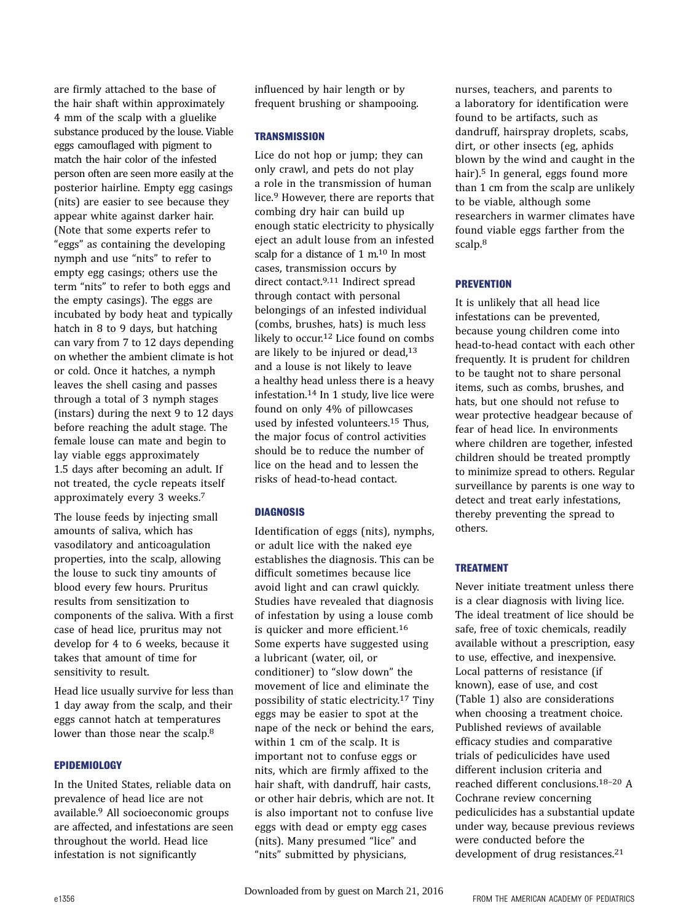are firmly attached to the base of the hair shaft within approximately 4 mm of the scalp with a gluelike substance produced by the louse. Viable eggs camouflaged with pigment to match the hair color of the infested person often are seen more easily at the posterior hairline. Empty egg casings (nits) are easier to see because they appear white against darker hair. (Note that some experts refer to "eggs" as containing the developing nymph and use "nits" to refer to empty egg casings; others use the term "nits" to refer to both eggs and the empty casings). The eggs are incubated by body heat and typically hatch in 8 to 9 days, but hatching can vary from 7 to 12 days depending on whether the ambient climate is hot or cold. Once it hatches, a nymph leaves the shell casing and passes through a total of 3 nymph stages (instars) during the next 9 to 12 days before reaching the adult stage. The female louse can mate and begin to lay viable eggs approximately 1.5 days after becoming an adult. If not treated, the cycle repeats itself approximately every 3 weeks.7

The louse feeds by injecting small amounts of saliva, which has vasodilatory and anticoagulation properties, into the scalp, allowing the louse to suck tiny amounts of blood every few hours. Pruritus results from sensitization to components of the saliva. With a first case of head lice, pruritus may not develop for 4 to 6 weeks, because it takes that amount of time for sensitivity to result.

Head lice usually survive for less than 1 day away from the scalp, and their eggs cannot hatch at temperatures lower than those near the scalp.<sup>8</sup>

#### EPIDEMIOLOGY

In the United States, reliable data on prevalence of head lice are not available.9 All socioeconomic groups are affected, and infestations are seen throughout the world. Head lice infestation is not significantly

influenced by hair length or by frequent brushing or shampooing.

#### **TRANSMISSION**

Lice do not hop or jump; they can only crawl, and pets do not play a role in the transmission of human lice.9 However, there are reports that combing dry hair can build up enough static electricity to physically eject an adult louse from an infested scalp for a distance of 1 m.<sup>10</sup> In most cases, transmission occurs by direct contact.9,11 Indirect spread through contact with personal belongings of an infested individual (combs, brushes, hats) is much less likely to occur.<sup>12</sup> Lice found on combs are likely to be injured or dead,<sup>13</sup> and a louse is not likely to leave a healthy head unless there is a heavy infestation.14 In 1 study, live lice were found on only 4% of pillowcases used by infested volunteers.15 Thus, the major focus of control activities should be to reduce the number of lice on the head and to lessen the risks of head-to-head contact.

#### **DIAGNOSIS**

Identification of eggs (nits), nymphs, or adult lice with the naked eye establishes the diagnosis. This can be difficult sometimes because lice avoid light and can crawl quickly. Studies have revealed that diagnosis of infestation by using a louse comb is quicker and more efficient.16 Some experts have suggested using a lubricant (water, oil, or conditioner) to "slow down" the movement of lice and eliminate the possibility of static electricity.17 Tiny eggs may be easier to spot at the nape of the neck or behind the ears, within 1 cm of the scalp. It is important not to confuse eggs or nits, which are firmly affixed to the hair shaft, with dandruff, hair casts, or other hair debris, which are not. It is also important not to confuse live eggs with dead or empty egg cases (nits). Many presumed "lice" and "nits" submitted by physicians,

nurses, teachers, and parents to a laboratory for identification were found to be artifacts, such as dandruff, hairspray droplets, scabs, dirt, or other insects (eg, aphids blown by the wind and caught in the hair).<sup>5</sup> In general, eggs found more than 1 cm from the scalp are unlikely to be viable, although some researchers in warmer climates have found viable eggs farther from the scalp.8

#### **PREVENTION**

It is unlikely that all head lice infestations can be prevented, because young children come into head-to-head contact with each other frequently. It is prudent for children to be taught not to share personal items, such as combs, brushes, and hats, but one should not refuse to wear protective headgear because of fear of head lice. In environments where children are together, infested children should be treated promptly to minimize spread to others. Regular surveillance by parents is one way to detect and treat early infestations, thereby preventing the spread to others.

#### TREATMENT

Never initiate treatment unless there is a clear diagnosis with living lice. The ideal treatment of lice should be safe, free of toxic chemicals, readily available without a prescription, easy to use, effective, and inexpensive. Local patterns of resistance (if known), ease of use, and cost (Table 1) also are considerations when choosing a treatment choice. Published reviews of available efficacy studies and comparative trials of pediculicides have used different inclusion criteria and reached different conclusions.18–<sup>20</sup> A Cochrane review concerning pediculicides has a substantial update under way, because previous reviews were conducted before the development of drug resistances.<sup>21</sup>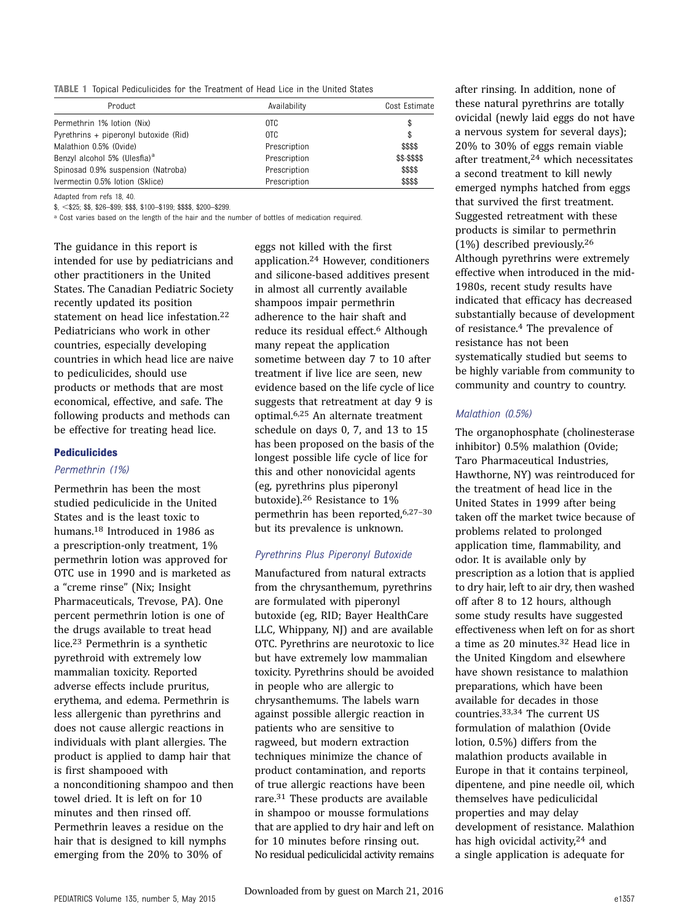TABLE 1 Topical Pediculicides for the Treatment of Head Lice in the United States

| Product                                  | Availability | Cost Estimate |
|------------------------------------------|--------------|---------------|
| Permethrin 1% lotion (Nix)               | OTC.         | \$            |
| Pyrethrins + piperonyl butoxide (Rid)    | OTC.         | \$            |
| Malathion 0.5% (Ovide)                   | Prescription | \$\$\$\$      |
| Benzyl alcohol 5% (Ulesfia) <sup>a</sup> | Prescription | \$\$-\$\$\$\$ |
| Spinosad 0.9% suspension (Natroba)       | Prescription | \$\$\$\$      |
| Ivermectin 0.5% lotion (Sklice)          | Prescription | \$\$\$\$      |

Adapted from refs 18, 40.

 $$$ , <\$25; \$\$, \$26–\$99; \$\$\$, \$100–\$199; \$\$\$\$, \$200–\$299.

a Cost varies based on the length of the hair and the number of bottles of medication required.

The guidance in this report is intended for use by pediatricians and other practitioners in the United States. The Canadian Pediatric Society recently updated its position statement on head lice infestation.22 Pediatricians who work in other countries, especially developing countries in which head lice are naive to pediculicides, should use products or methods that are most economical, effective, and safe. The following products and methods can be effective for treating head lice.

#### Pediculicides

#### Permethrin (1%)

Permethrin has been the most studied pediculicide in the United States and is the least toxic to humans.18 Introduced in 1986 as a prescription-only treatment, 1% permethrin lotion was approved for OTC use in 1990 and is marketed as a "creme rinse" (Nix; Insight Pharmaceuticals, Trevose, PA). One percent permethrin lotion is one of the drugs available to treat head lice.23 Permethrin is a synthetic pyrethroid with extremely low mammalian toxicity. Reported adverse effects include pruritus, erythema, and edema. Permethrin is less allergenic than pyrethrins and does not cause allergic reactions in individuals with plant allergies. The product is applied to damp hair that is first shampooed with a nonconditioning shampoo and then towel dried. It is left on for 10 minutes and then rinsed off. Permethrin leaves a residue on the hair that is designed to kill nymphs emerging from the 20% to 30% of

eggs not killed with the first application.24 However, conditioners and silicone-based additives present in almost all currently available shampoos impair permethrin adherence to the hair shaft and reduce its residual effect.<sup>6</sup> Although many repeat the application sometime between day 7 to 10 after treatment if live lice are seen, new evidence based on the life cycle of lice suggests that retreatment at day 9 is optimal.6,25 An alternate treatment schedule on days 0, 7, and 13 to 15 has been proposed on the basis of the longest possible life cycle of lice for this and other nonovicidal agents (eg, pyrethrins plus piperonyl butoxide).26 Resistance to 1% permethrin has been reported,6,27–<sup>30</sup> but its prevalence is unknown.

#### Pyrethrins Plus Piperonyl Butoxide

Manufactured from natural extracts from the chrysanthemum, pyrethrins are formulated with piperonyl butoxide (eg, RID; Bayer HealthCare LLC, Whippany, NJ) and are available OTC. Pyrethrins are neurotoxic to lice but have extremely low mammalian toxicity. Pyrethrins should be avoided in people who are allergic to chrysanthemums. The labels warn against possible allergic reaction in patients who are sensitive to ragweed, but modern extraction techniques minimize the chance of product contamination, and reports of true allergic reactions have been rare.31 These products are available in shampoo or mousse formulations that are applied to dry hair and left on for 10 minutes before rinsing out. No residual pediculicidal activity remains

after rinsing. In addition, none of these natural pyrethrins are totally ovicidal (newly laid eggs do not have a nervous system for several days); 20% to 30% of eggs remain viable after treatment,<sup>24</sup> which necessitates a second treatment to kill newly emerged nymphs hatched from eggs that survived the first treatment. Suggested retreatment with these products is similar to permethrin (1%) described previously.26 Although pyrethrins were extremely effective when introduced in the mid-1980s, recent study results have indicated that efficacy has decreased substantially because of development of resistance.4 The prevalence of resistance has not been systematically studied but seems to be highly variable from community to community and country to country.

#### Malathion (0.5%)

The organophosphate (cholinesterase inhibitor) 0.5% malathion (Ovide; Taro Pharmaceutical Industries, Hawthorne, NY) was reintroduced for the treatment of head lice in the United States in 1999 after being taken off the market twice because of problems related to prolonged application time, flammability, and odor. It is available only by prescription as a lotion that is applied to dry hair, left to air dry, then washed off after 8 to 12 hours, although some study results have suggested effectiveness when left on for as short a time as 20 minutes.32 Head lice in the United Kingdom and elsewhere have shown resistance to malathion preparations, which have been available for decades in those countries.33,34 The current US formulation of malathion (Ovide lotion, 0.5%) differs from the malathion products available in Europe in that it contains terpineol, dipentene, and pine needle oil, which themselves have pediculicidal properties and may delay development of resistance. Malathion has high ovicidal activity,<sup>24</sup> and a single application is adequate for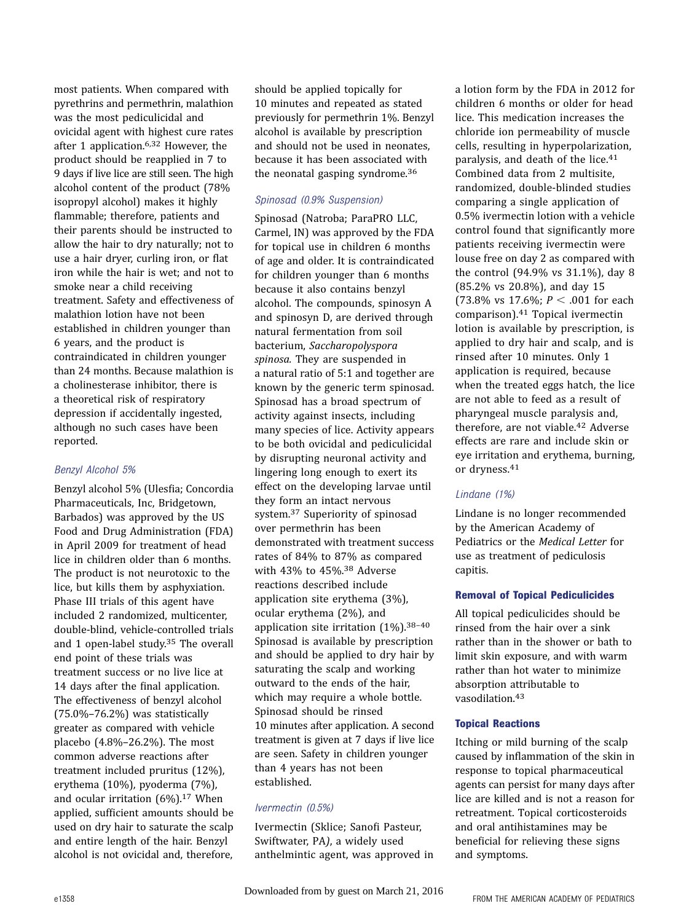most patients. When compared with pyrethrins and permethrin, malathion was the most pediculicidal and ovicidal agent with highest cure rates after 1 application.6,32 However, the product should be reapplied in 7 to 9 days if live lice are still seen. The high alcohol content of the product (78% isopropyl alcohol) makes it highly flammable; therefore, patients and their parents should be instructed to allow the hair to dry naturally; not to use a hair dryer, curling iron, or flat iron while the hair is wet; and not to smoke near a child receiving treatment. Safety and effectiveness of malathion lotion have not been established in children younger than 6 years, and the product is contraindicated in children younger than 24 months. Because malathion is a cholinesterase inhibitor, there is a theoretical risk of respiratory depression if accidentally ingested, although no such cases have been reported.

#### Benzyl Alcohol 5%

Benzyl alcohol 5% (Ulesfia; Concordia Pharmaceuticals, Inc, Bridgetown, Barbados) was approved by the US Food and Drug Administration (FDA) in April 2009 for treatment of head lice in children older than 6 months. The product is not neurotoxic to the lice, but kills them by asphyxiation. Phase III trials of this agent have included 2 randomized, multicenter, double-blind, vehicle-controlled trials and 1 open-label study.35 The overall end point of these trials was treatment success or no live lice at 14 days after the final application. The effectiveness of benzyl alcohol (75.0%–76.2%) was statistically greater as compared with vehicle placebo (4.8%–26.2%). The most common adverse reactions after treatment included pruritus (12%), erythema (10%), pyoderma (7%), and ocular irritation  $(6%)$ .<sup>17</sup> When applied, sufficient amounts should be used on dry hair to saturate the scalp and entire length of the hair. Benzyl alcohol is not ovicidal and, therefore,

should be applied topically for 10 minutes and repeated as stated previously for permethrin 1%. Benzyl alcohol is available by prescription and should not be used in neonates, because it has been associated with the neonatal gasping syndrome.36

#### Spinosad (0.9% Suspension)

Spinosad (Natroba; ParaPRO LLC, Carmel, IN) was approved by the FDA for topical use in children 6 months of age and older. It is contraindicated for children younger than 6 months because it also contains benzyl alcohol. The compounds, spinosyn A and spinosyn D, are derived through natural fermentation from soil bacterium, Saccharopolyspora spinosa. They are suspended in a natural ratio of 5:1 and together are known by the generic term spinosad. Spinosad has a broad spectrum of activity against insects, including many species of lice. Activity appears to be both ovicidal and pediculicidal by disrupting neuronal activity and lingering long enough to exert its effect on the developing larvae until they form an intact nervous system.37 Superiority of spinosad over permethrin has been demonstrated with treatment success rates of 84% to 87% as compared with 43% to 45%.38 Adverse reactions described include application site erythema (3%), ocular erythema (2%), and application site irritation (1%).<sup>38-40</sup> Spinosad is available by prescription and should be applied to dry hair by saturating the scalp and working outward to the ends of the hair, which may require a whole bottle. Spinosad should be rinsed 10 minutes after application. A second treatment is given at 7 days if live lice are seen. Safety in children younger than 4 years has not been established.

#### Ivermectin (0.5%)

Ivermectin (Sklice; Sanofi Pasteur, Swiftwater, PA), a widely used anthelmintic agent, was approved in a lotion form by the FDA in 2012 for children 6 months or older for head lice. This medication increases the chloride ion permeability of muscle cells, resulting in hyperpolarization, paralysis, and death of the lice.<sup>41</sup> Combined data from 2 multisite, randomized, double-blinded studies comparing a single application of 0.5% ivermectin lotion with a vehicle control found that significantly more patients receiving ivermectin were louse free on day 2 as compared with the control (94.9% vs 31.1%), day 8 (85.2% vs 20.8%), and day 15 (73.8% vs 17.6%;  $P < .001$  for each comparison).41 Topical ivermectin lotion is available by prescription, is applied to dry hair and scalp, and is rinsed after 10 minutes. Only 1 application is required, because when the treated eggs hatch, the lice are not able to feed as a result of pharyngeal muscle paralysis and, therefore, are not viable.42 Adverse effects are rare and include skin or eye irritation and erythema, burning, or dryness.41

#### Lindane (1%)

Lindane is no longer recommended by the American Academy of Pediatrics or the Medical Letter for use as treatment of pediculosis capitis.

#### Removal of Topical Pediculicides

All topical pediculicides should be rinsed from the hair over a sink rather than in the shower or bath to limit skin exposure, and with warm rather than hot water to minimize absorption attributable to vasodilation.43

#### Topical Reactions

Itching or mild burning of the scalp caused by inflammation of the skin in response to topical pharmaceutical agents can persist for many days after lice are killed and is not a reason for retreatment. Topical corticosteroids and oral antihistamines may be beneficial for relieving these signs and symptoms.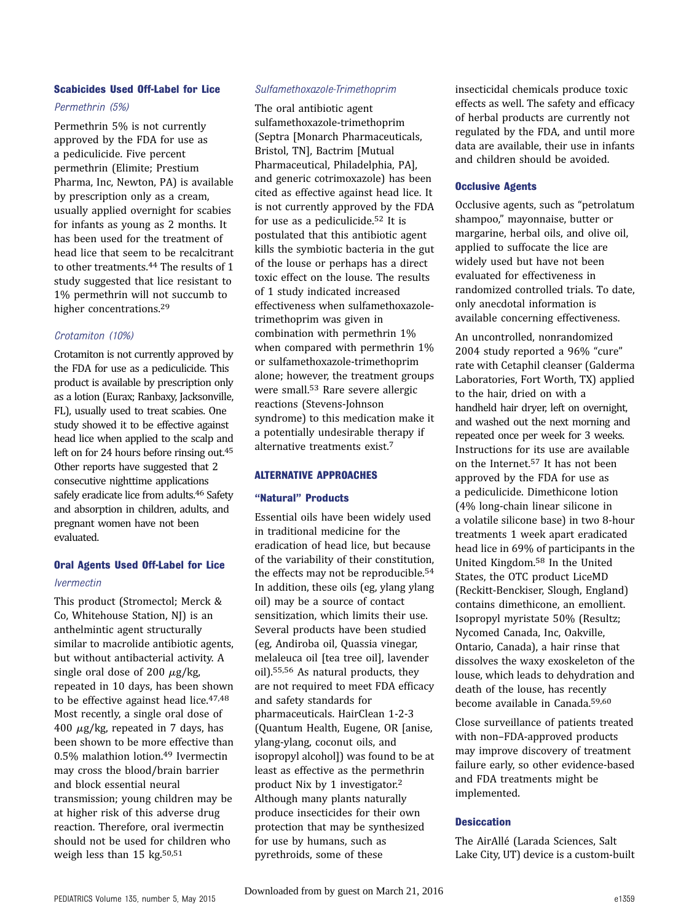#### Scabicides Used Off-Label for Lice

#### Permethrin (5%)

Permethrin 5% is not currently approved by the FDA for use as a pediculicide. Five percent permethrin (Elimite; Prestium Pharma, Inc, Newton, PA) is available by prescription only as a cream, usually applied overnight for scabies for infants as young as 2 months. It has been used for the treatment of head lice that seem to be recalcitrant to other treatments.44 The results of 1 study suggested that lice resistant to 1% permethrin will not succumb to higher concentrations.29

#### Crotamiton (10%)

Crotamiton is not currently approved by the FDA for use as a pediculicide. This product is available by prescription only as a lotion (Eurax; Ranbaxy, Jacksonville, FL), usually used to treat scabies. One study showed it to be effective against head lice when applied to the scalp and left on for 24 hours before rinsing out.45 Other reports have suggested that 2 consecutive nighttime applications safely eradicate lice from adults.<sup>46</sup> Safety and absorption in children, adults, and pregnant women have not been evaluated.

#### Oral Agents Used Off-Label for Lice Ivermectin

This product (Stromectol; Merck & Co, Whitehouse Station, NJ) is an anthelmintic agent structurally similar to macrolide antibiotic agents, but without antibacterial activity. A single oral dose of 200  $\mu$ g/kg, repeated in 10 days, has been shown to be effective against head lice.47,48 Most recently, a single oral dose of 400 mg/kg, repeated in 7 days, has been shown to be more effective than 0.5% malathion lotion.49 Ivermectin may cross the blood/brain barrier and block essential neural transmission; young children may be at higher risk of this adverse drug reaction. Therefore, oral ivermectin should not be used for children who weigh less than 15 kg.<sup>50,51</sup>

#### Sulfamethoxazole-Trimethoprim

The oral antibiotic agent sulfamethoxazole-trimethoprim (Septra [Monarch Pharmaceuticals, Bristol, TN], Bactrim [Mutual Pharmaceutical, Philadelphia, PA], and generic cotrimoxazole) has been cited as effective against head lice. It is not currently approved by the FDA for use as a pediculicide.52 It is postulated that this antibiotic agent kills the symbiotic bacteria in the gut of the louse or perhaps has a direct toxic effect on the louse. The results of 1 study indicated increased effectiveness when sulfamethoxazoletrimethoprim was given in combination with permethrin 1% when compared with permethrin 1% or sulfamethoxazole-trimethoprim alone; however, the treatment groups were small.<sup>53</sup> Rare severe allergic reactions (Stevens-Johnson syndrome) to this medication make it a potentially undesirable therapy if alternative treatments exist.7

#### ALTERNATIVE APPROACHES

#### "Natural" Products

Essential oils have been widely used in traditional medicine for the eradication of head lice, but because of the variability of their constitution, the effects may not be reproducible.54 In addition, these oils (eg, ylang ylang oil) may be a source of contact sensitization, which limits their use. Several products have been studied (eg, Andiroba oil, Quassia vinegar, melaleuca oil [tea tree oil], lavender oil).55,56 As natural products, they are not required to meet FDA efficacy and safety standards for pharmaceuticals. HairClean 1-2-3 (Quantum Health, Eugene, OR [anise, ylang-ylang, coconut oils, and isopropyl alcohol]) was found to be at least as effective as the permethrin product Nix by 1 investigator.2 Although many plants naturally produce insecticides for their own protection that may be synthesized for use by humans, such as pyrethroids, some of these

insecticidal chemicals produce toxic effects as well. The safety and efficacy of herbal products are currently not regulated by the FDA, and until more data are available, their use in infants and children should be avoided.

#### Occlusive Agents

Occlusive agents, such as "petrolatum shampoo," mayonnaise, butter or margarine, herbal oils, and olive oil, applied to suffocate the lice are widely used but have not been evaluated for effectiveness in randomized controlled trials. To date, only anecdotal information is available concerning effectiveness.

An uncontrolled, nonrandomized 2004 study reported a 96% "cure" rate with Cetaphil cleanser (Galderma Laboratories, Fort Worth, TX) applied to the hair, dried on with a handheld hair dryer, left on overnight, and washed out the next morning and repeated once per week for 3 weeks. Instructions for its use are available on the Internet.57 It has not been approved by the FDA for use as a pediculicide. Dimethicone lotion (4% long-chain linear silicone in a volatile silicone base) in two 8-hour treatments 1 week apart eradicated head lice in 69% of participants in the United Kingdom.58 In the United States, the OTC product LiceMD (Reckitt-Benckiser, Slough, England) contains dimethicone, an emollient. Isopropyl myristate 50% (Resultz; Nycomed Canada, Inc, Oakville, Ontario, Canada), a hair rinse that dissolves the waxy exoskeleton of the louse, which leads to dehydration and death of the louse, has recently become available in Canada.59,60

Close surveillance of patients treated with non–FDA-approved products may improve discovery of treatment failure early, so other evidence-based and FDA treatments might be implemented.

#### **Desiccation**

The AirAllé (Larada Sciences, Salt Lake City, UT) device is a custom-built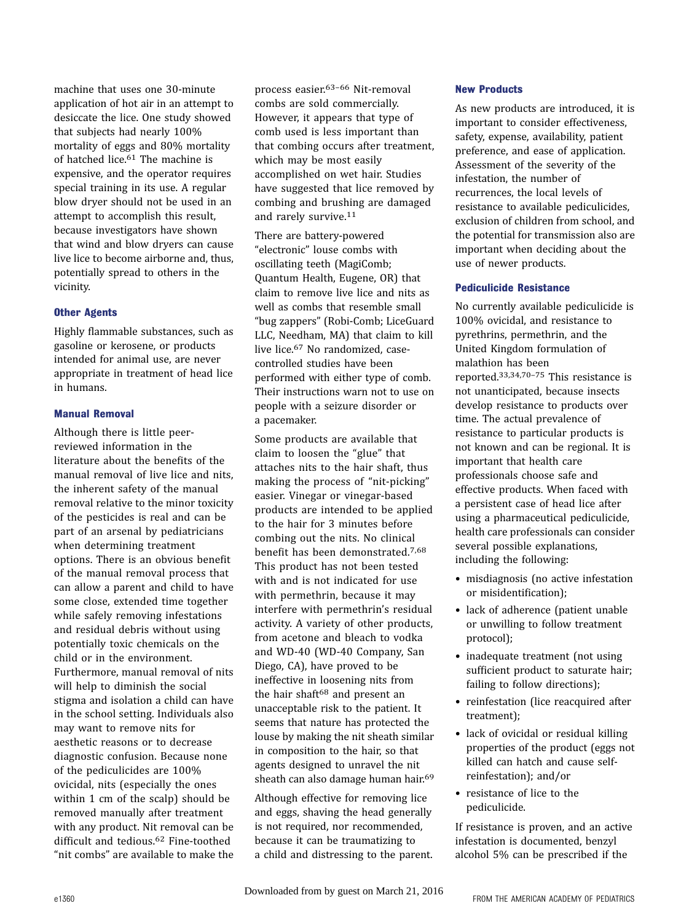machine that uses one 30-minute application of hot air in an attempt to desiccate the lice. One study showed that subjects had nearly 100% mortality of eggs and 80% mortality of hatched lice.61 The machine is expensive, and the operator requires special training in its use. A regular blow dryer should not be used in an attempt to accomplish this result, because investigators have shown that wind and blow dryers can cause live lice to become airborne and, thus, potentially spread to others in the vicinity.

#### Other Agents

Highly flammable substances, such as gasoline or kerosene, or products intended for animal use, are never appropriate in treatment of head lice in humans.

#### Manual Removal

Although there is little peerreviewed information in the literature about the benefits of the manual removal of live lice and nits, the inherent safety of the manual removal relative to the minor toxicity of the pesticides is real and can be part of an arsenal by pediatricians when determining treatment options. There is an obvious benefit of the manual removal process that can allow a parent and child to have some close, extended time together while safely removing infestations and residual debris without using potentially toxic chemicals on the child or in the environment. Furthermore, manual removal of nits will help to diminish the social stigma and isolation a child can have in the school setting. Individuals also may want to remove nits for aesthetic reasons or to decrease diagnostic confusion. Because none of the pediculicides are 100% ovicidal, nits (especially the ones within 1 cm of the scalp) should be removed manually after treatment with any product. Nit removal can be difficult and tedious.<sup>62</sup> Fine-toothed "nit combs" are available to make the

process easier.63–<sup>66</sup> Nit-removal combs are sold commercially. However, it appears that type of comb used is less important than that combing occurs after treatment, which may be most easily accomplished on wet hair. Studies have suggested that lice removed by combing and brushing are damaged and rarely survive.11

There are battery-powered "electronic" louse combs with oscillating teeth (MagiComb; Quantum Health, Eugene, OR) that claim to remove live lice and nits as well as combs that resemble small "bug zappers" (Robi-Comb; LiceGuard LLC, Needham, MA) that claim to kill live lice.67 No randomized, casecontrolled studies have been performed with either type of comb. Their instructions warn not to use on people with a seizure disorder or a pacemaker.

Some products are available that claim to loosen the "glue" that attaches nits to the hair shaft, thus making the process of "nit-picking" easier. Vinegar or vinegar-based products are intended to be applied to the hair for 3 minutes before combing out the nits. No clinical benefit has been demonstrated.7,68 This product has not been tested with and is not indicated for use with permethrin, because it may interfere with permethrin's residual activity. A variety of other products, from acetone and bleach to vodka and WD-40 (WD-40 Company, San Diego, CA), have proved to be ineffective in loosening nits from the hair shaft $68$  and present an unacceptable risk to the patient. It seems that nature has protected the louse by making the nit sheath similar in composition to the hair, so that agents designed to unravel the nit sheath can also damage human hair.<sup>69</sup>

Although effective for removing lice and eggs, shaving the head generally is not required, nor recommended, because it can be traumatizing to a child and distressing to the parent.

#### New Products

As new products are introduced, it is important to consider effectiveness, safety, expense, availability, patient preference, and ease of application. Assessment of the severity of the infestation, the number of recurrences, the local levels of resistance to available pediculicides, exclusion of children from school, and the potential for transmission also are important when deciding about the use of newer products.

#### Pediculicide Resistance

No currently available pediculicide is 100% ovicidal, and resistance to pyrethrins, permethrin, and the United Kingdom formulation of malathion has been reported.33,34,70–<sup>75</sup> This resistance is not unanticipated, because insects develop resistance to products over time. The actual prevalence of resistance to particular products is not known and can be regional. It is important that health care professionals choose safe and effective products. When faced with a persistent case of head lice after using a pharmaceutical pediculicide, health care professionals can consider several possible explanations, including the following:

- misdiagnosis (no active infestation or misidentification);
- lack of adherence (patient unable or unwilling to follow treatment protocol);
- inadequate treatment (not using sufficient product to saturate hair; failing to follow directions);
- reinfestation (lice reacquired after treatment);
- lack of ovicidal or residual killing properties of the product (eggs not killed can hatch and cause selfreinfestation); and/or
- resistance of lice to the pediculicide.

If resistance is proven, and an active infestation is documented, benzyl alcohol 5% can be prescribed if the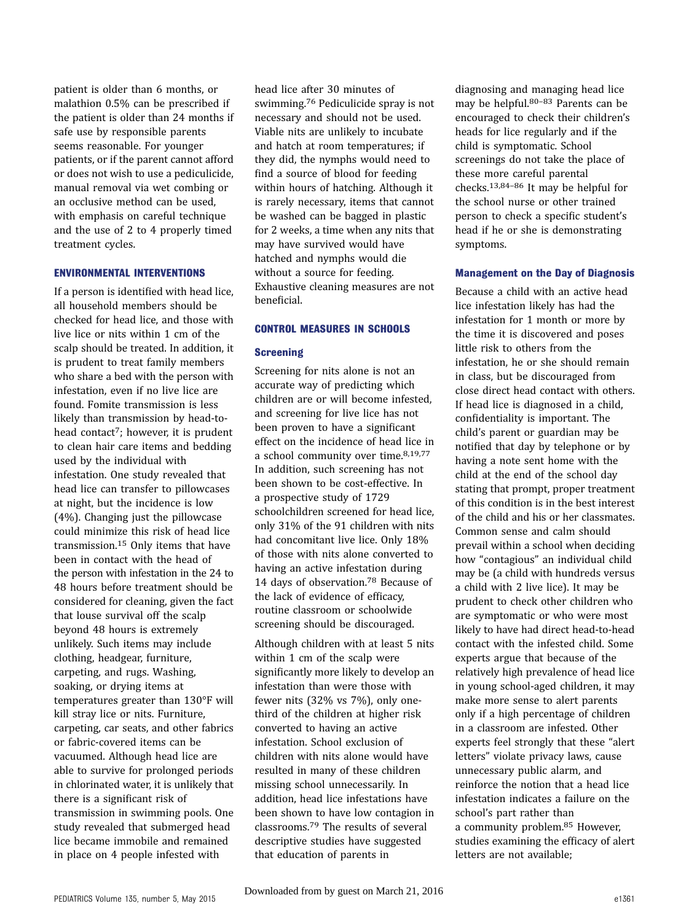patient is older than 6 months, or malathion 0.5% can be prescribed if the patient is older than 24 months if safe use by responsible parents seems reasonable. For younger patients, or if the parent cannot afford or does not wish to use a pediculicide, manual removal via wet combing or an occlusive method can be used, with emphasis on careful technique and the use of 2 to 4 properly timed treatment cycles.

#### ENVIRONMENTAL INTERVENTIONS

If a person is identified with head lice, all household members should be checked for head lice, and those with live lice or nits within 1 cm of the scalp should be treated. In addition, it is prudent to treat family members who share a bed with the person with infestation, even if no live lice are found. Fomite transmission is less likely than transmission by head-tohead contact<sup>7</sup>; however, it is prudent to clean hair care items and bedding used by the individual with infestation. One study revealed that head lice can transfer to pillowcases at night, but the incidence is low (4%). Changing just the pillowcase could minimize this risk of head lice transmission.15 Only items that have been in contact with the head of the person with infestation in the 24 to 48 hours before treatment should be considered for cleaning, given the fact that louse survival off the scalp beyond 48 hours is extremely unlikely. Such items may include clothing, headgear, furniture, carpeting, and rugs. Washing, soaking, or drying items at temperatures greater than 130°F will kill stray lice or nits. Furniture, carpeting, car seats, and other fabrics or fabric-covered items can be vacuumed. Although head lice are able to survive for prolonged periods in chlorinated water, it is unlikely that there is a significant risk of transmission in swimming pools. One study revealed that submerged head lice became immobile and remained in place on 4 people infested with

head lice after 30 minutes of swimming.76 Pediculicide spray is not necessary and should not be used. Viable nits are unlikely to incubate and hatch at room temperatures; if they did, the nymphs would need to find a source of blood for feeding within hours of hatching. Although it is rarely necessary, items that cannot be washed can be bagged in plastic for 2 weeks, a time when any nits that may have survived would have hatched and nymphs would die without a source for feeding. Exhaustive cleaning measures are not beneficial.

#### CONTROL MEASURES IN SCHOOLS

#### **Screening**

Screening for nits alone is not an accurate way of predicting which children are or will become infested, and screening for live lice has not been proven to have a significant effect on the incidence of head lice in a school community over time.8,19,77 In addition, such screening has not been shown to be cost-effective. In a prospective study of 1729 schoolchildren screened for head lice, only 31% of the 91 children with nits had concomitant live lice. Only 18% of those with nits alone converted to having an active infestation during 14 days of observation.78 Because of the lack of evidence of efficacy, routine classroom or schoolwide screening should be discouraged.

Although children with at least 5 nits within 1 cm of the scalp were significantly more likely to develop an infestation than were those with fewer nits (32% vs 7%), only onethird of the children at higher risk converted to having an active infestation. School exclusion of children with nits alone would have resulted in many of these children missing school unnecessarily. In addition, head lice infestations have been shown to have low contagion in classrooms.79 The results of several descriptive studies have suggested that education of parents in

diagnosing and managing head lice may be helpful.80–<sup>83</sup> Parents can be encouraged to check their children's heads for lice regularly and if the child is symptomatic. School screenings do not take the place of these more careful parental checks.13,84–<sup>86</sup> It may be helpful for the school nurse or other trained person to check a specific student's head if he or she is demonstrating symptoms.

#### Management on the Day of Diagnosis

Because a child with an active head lice infestation likely has had the infestation for 1 month or more by the time it is discovered and poses little risk to others from the infestation, he or she should remain in class, but be discouraged from close direct head contact with others. If head lice is diagnosed in a child, confidentiality is important. The child's parent or guardian may be notified that day by telephone or by having a note sent home with the child at the end of the school day stating that prompt, proper treatment of this condition is in the best interest of the child and his or her classmates. Common sense and calm should prevail within a school when deciding how "contagious" an individual child may be (a child with hundreds versus a child with 2 live lice). It may be prudent to check other children who are symptomatic or who were most likely to have had direct head-to-head contact with the infested child. Some experts argue that because of the relatively high prevalence of head lice in young school-aged children, it may make more sense to alert parents only if a high percentage of children in a classroom are infested. Other experts feel strongly that these "alert letters" violate privacy laws, cause unnecessary public alarm, and reinforce the notion that a head lice infestation indicates a failure on the school's part rather than a community problem.85 However, studies examining the efficacy of alert letters are not available;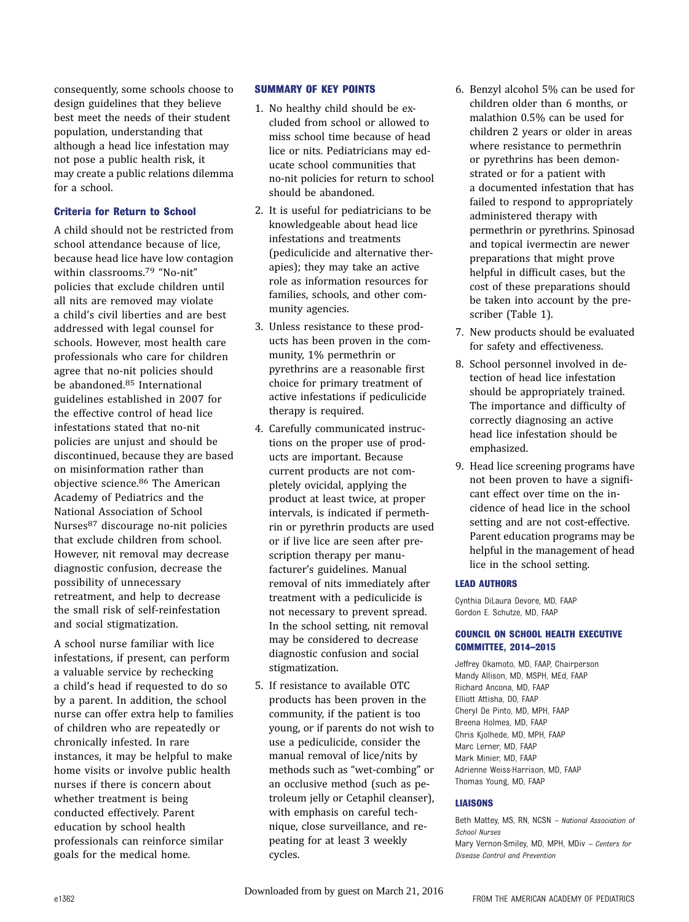consequently, some schools choose to design guidelines that they believe best meet the needs of their student population, understanding that although a head lice infestation may not pose a public health risk, it may create a public relations dilemma for a school.

#### Criteria for Return to School

A child should not be restricted from school attendance because of lice, because head lice have low contagion within classrooms.79 "No-nit" policies that exclude children until all nits are removed may violate a child's civil liberties and are best addressed with legal counsel for schools. However, most health care professionals who care for children agree that no-nit policies should be abandoned.85 International guidelines established in 2007 for the effective control of head lice infestations stated that no-nit policies are unjust and should be discontinued, because they are based on misinformation rather than objective science.86 The American Academy of Pediatrics and the National Association of School Nurses87 discourage no-nit policies that exclude children from school. However, nit removal may decrease diagnostic confusion, decrease the possibility of unnecessary retreatment, and help to decrease the small risk of self-reinfestation and social stigmatization.

A school nurse familiar with lice infestations, if present, can perform a valuable service by rechecking a child's head if requested to do so by a parent. In addition, the school nurse can offer extra help to families of children who are repeatedly or chronically infested. In rare instances, it may be helpful to make home visits or involve public health nurses if there is concern about whether treatment is being conducted effectively. Parent education by school health professionals can reinforce similar goals for the medical home.

#### SUMMARY OF KEY POINTS

- 1. No healthy child should be excluded from school or allowed to miss school time because of head lice or nits. Pediatricians may educate school communities that no-nit policies for return to school should be abandoned.
- 2. It is useful for pediatricians to be knowledgeable about head lice infestations and treatments (pediculicide and alternative therapies); they may take an active role as information resources for families, schools, and other community agencies.
- 3. Unless resistance to these products has been proven in the community, 1% permethrin or pyrethrins are a reasonable first choice for primary treatment of active infestations if pediculicide therapy is required.
- 4. Carefully communicated instructions on the proper use of products are important. Because current products are not completely ovicidal, applying the product at least twice, at proper intervals, is indicated if permethrin or pyrethrin products are used or if live lice are seen after prescription therapy per manufacturer's guidelines. Manual removal of nits immediately after treatment with a pediculicide is not necessary to prevent spread. In the school setting, nit removal may be considered to decrease diagnostic confusion and social stigmatization.
- 5. If resistance to available OTC products has been proven in the community, if the patient is too young, or if parents do not wish to use a pediculicide, consider the manual removal of lice/nits by methods such as "wet-combing" or an occlusive method (such as petroleum jelly or Cetaphil cleanser), with emphasis on careful technique, close surveillance, and repeating for at least 3 weekly cycles.
- 6. Benzyl alcohol 5% can be used for children older than 6 months, or malathion 0.5% can be used for children 2 years or older in areas where resistance to permethrin or pyrethrins has been demonstrated or for a patient with a documented infestation that has failed to respond to appropriately administered therapy with permethrin or pyrethrins. Spinosad and topical ivermectin are newer preparations that might prove helpful in difficult cases, but the cost of these preparations should be taken into account by the prescriber (Table 1).
- 7. New products should be evaluated for safety and effectiveness.
- 8. School personnel involved in detection of head lice infestation should be appropriately trained. The importance and difficulty of correctly diagnosing an active head lice infestation should be emphasized.
- 9. Head lice screening programs have not been proven to have a significant effect over time on the incidence of head lice in the school setting and are not cost-effective. Parent education programs may be helpful in the management of head lice in the school setting.

#### LEAD AUTHORS

Cynthia DiLaura Devore, MD, FAAP Gordon E. Schutze, MD, FAAP

#### COUNCIL ON SCHOOL HEALTH EXECUTIVE COMMITTEE, 2014–2015

Jeffrey Okamoto, MD, FAAP, Chairperson Mandy Allison, MD, MSPH, MEd, FAAP Richard Ancona, MD, FAAP Elliott Attisha, DO, FAAP Cheryl De Pinto, MD, MPH, FAAP Breena Holmes, MD, FAAP Chris Kjolhede, MD, MPH, FAAP Marc Lerner, MD, FAAP Mark Minier, MD, FAAP Adrienne Weiss-Harrison, MD, FAAP Thomas Young, MD, FAAP

#### LIAISONS

Beth Mattey, MS, RN, NCSN – National Association of School Nurses Mary Vernon-Smiley, MD, MPH, MDiv - Centers for Disease Control and Prevention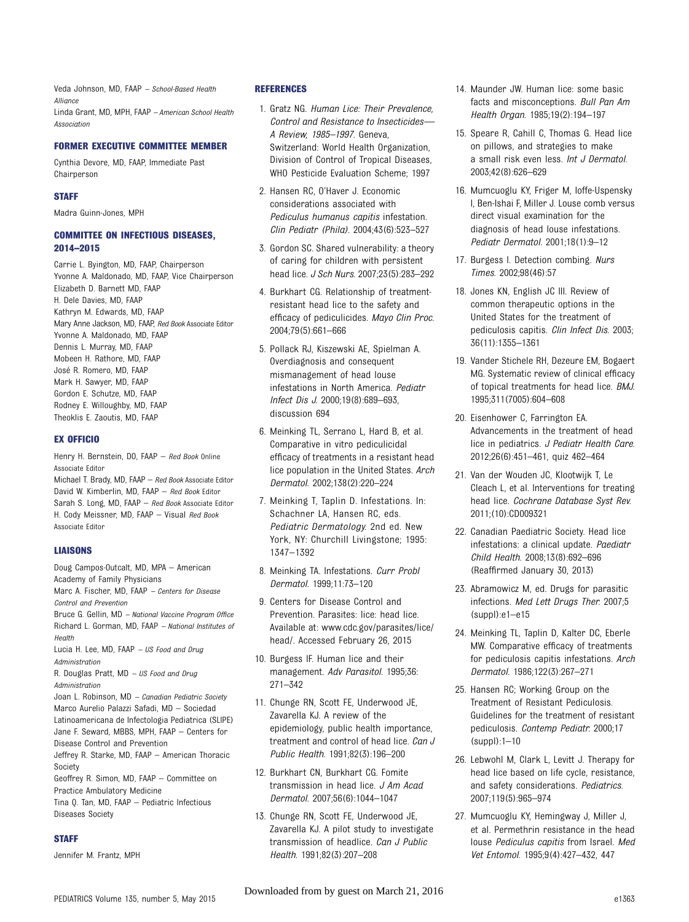Veda Johnson, MD, FAAP – School-Based Health Alliance Linda Grant, MD, MPH, FAAP – American School Health Association

#### FORMER EXECUTIVE COMMITTEE MEMBER

Cynthia Devore, MD, FAAP, Immediate Past Chairperson

#### **STAFF**

Madra Guinn-Jones, MPH

#### COMMITTEE ON INFECTIOUS DISEASES, 2014–2015

Carrie L. Byington, MD, FAAP, Chairperson Yvonne A. Maldonado, MD, FAAP, Vice Chairperson Elizabeth D. Barnett MD, FAAP H. Dele Davies, MD, FAAP Kathryn M. Edwards, MD, FAAP Mary Anne Jackson, MD, FAAP, Red Book Associate Editor Yvonne A. Maldonado, MD, FAAP Dennis L. Murray, MD, FAAP Mobeen H. Rathore, MD, FAAP José R. Romero, MD, FAAP Mark H. Sawyer, MD, FAAP Gordon E. Schutze, MD, FAAP Rodney E. Willoughby, MD, FAAP Theoklis E. Zaoutis, MD, FAAP

#### EX OFFICIO

Henry H. Bernstein, DO, FAAP – Red Book Online Associate Editor

Michael T. Brady, MD, FAAP – Red Book Associate Editor David W. Kimberlin, MD, FAAP – Red Book Editor Sarah S. Long, MD, FAAP – Red Book Associate Editor H. Cody Meissner, MD, FAAP – Visual Red Book Associate Editor

#### LIAISONS

- Doug Campos-Outcalt, MD, MPA American Academy of Family Physicians
- Marc A. Fischer, MD, FAAP Centers for Disease Control and Prevention
- Bruce G. Gellin, MD National Vaccine Program Office Richard L. Gorman, MD, FAAP – National Institutes of

Health Lucia H. Lee, MD, FAAP - US Food and Drug Administration

R. Douglas Pratt, MD – US Food and Drug Administration

Joan L. Robinson, MD - Canadian Pediatric Society Marco Aurelio Palazzi Safadi, MD – Sociedad Latinoamericana de Infectologia Pediatrica (SLIPE) Jane F. Seward, MBBS, MPH, FAAP – Centers for

Disease Control and Prevention Jeffrey R. Starke, MD, FAAP – American Thoracic Society

Geoffrey R. Simon, MD, FAAP – Committee on Practice Ambulatory Medicine

Tina Q. Tan, MD, FAAP – Pediatric Infectious

Diseases Society

#### **STAFF**

Jennifer M. Frantz, MPH

#### **REFERENCES**

- 1. Gratz NG. Human Lice: Their Prevalence, Control and Resistance to Insecticides-A Review, 1985–1997. Geneva, Switzerland: World Health Organization, Division of Control of Tropical Diseases, WHO Pesticide Evaluation Scheme; 1997
- 2. Hansen RC, O'Haver J. Economic considerations associated with Pediculus humanus capitis infestation. Clin Pediatr (Phila). 2004;43(6):523–527
- 3. Gordon SC. Shared vulnerability: a theory of caring for children with persistent head lice. J Sch Nurs. 2007;23(5):283–292
- 4. Burkhart CG. Relationship of treatmentresistant head lice to the safety and efficacy of pediculicides. Mayo Clin Proc. 2004;79(5):661–666
- 5. Pollack RJ, Kiszewski AE, Spielman A. Overdiagnosis and consequent mismanagement of head louse infestations in North America. Pediatr Infect Dis J. 2000;19(8):689–693, discussion 694
- 6. Meinking TL, Serrano L, Hard B, et al. Comparative in vitro pediculicidal efficacy of treatments in a resistant head lice population in the United States. Arch Dermatol. 2002;138(2):220–224
- 7. Meinking T, Taplin D. Infestations. In: Schachner LA, Hansen RC, eds. Pediatric Dermatology. 2nd ed. New York, NY: Churchill Livingstone; 1995: 1347–1392
- 8. Meinking TA. Infestations. Curr Probl Dermatol. 1999;11:73–120
- 9. Centers for Disease Control and Prevention. Parasites: lice: head lice. Available at: [www.cdc.gov/parasites/lice/](http://www.cdc.gov/parasites/lice/head/) [head/.](http://www.cdc.gov/parasites/lice/head/) Accessed February 26, 2015
- 10. Burgess IF. Human lice and their management. Adv Parasitol. 1995;36: 271–342
- 11. Chunge RN, Scott FE, Underwood JE, Zavarella KJ. A review of the epidemiology, public health importance, treatment and control of head lice. Can J Public Health. 1991;82(3):196–200
- 12. Burkhart CN, Burkhart CG. Fomite transmission in head lice. J Am Acad Dermatol. 2007;56(6):1044–1047
- 13. Chunge RN, Scott FE, Underwood JE, Zavarella KJ. A pilot study to investigate transmission of headlice. Can J Public Health. 1991;82(3):207–208
- 14. Maunder JW. Human lice: some basic facts and misconceptions. Bull Pan Am Health Organ. 1985;19(2):194–197
- 15. Speare R, Cahill C, Thomas G. Head lice on pillows, and strategies to make a small risk even less. Int J Dermatol. 2003;42(8):626–629
- 16. Mumcuoglu KY, Friger M, Ioffe-Uspensky I, Ben-Ishai F, Miller J. Louse comb versus direct visual examination for the diagnosis of head louse infestations. Pediatr Dermatol. 2001;18(1):9–12
- 17. Burgess I. Detection combing. Nurs Times. 2002;98(46):57
- 18. Jones KN, English JC III. Review of common therapeutic options in the United States for the treatment of pediculosis capitis. Clin Infect Dis. 2003; 36(11):1355–1361
- 19. Vander Stichele RH, Dezeure EM, Bogaert MG. Systematic review of clinical efficacy of topical treatments for head lice. BMJ. 1995;311(7005):604–608
- 20. Eisenhower C, Farrington EA. Advancements in the treatment of head lice in pediatrics. J Pediatr Health Care. 2012;26(6):451–461, quiz 462–464
- 21. Van der Wouden JC, Klootwijk T, Le Cleach L, et al. Interventions for treating head lice. Cochrane Database Syst Rev. 2011;(10):CD009321
- 22. Canadian Paediatric Society. Head lice infestations: a clinical update. Paediatr Child Health. 2008;13(8):692–696 (Reaffirmed January 30, 2013)
- 23. Abramowicz M, ed. Drugs for parasitic infections. Med Lett Drugs Ther. 2007;5 (suppl):e1–e15
- 24. Meinking TL, Taplin D, Kalter DC, Eberle MW. Comparative efficacy of treatments for pediculosis capitis infestations. Arch Dermatol. 1986;122(3):267–271
- 25. Hansen RC; Working Group on the Treatment of Resistant Pediculosis. Guidelines for the treatment of resistant pediculosis. Contemp Pediatr. 2000;17 (suppl):1–10
- 26. Lebwohl M, Clark L, Levitt J. Therapy for head lice based on life cycle, resistance, and safety considerations. Pediatrics. 2007;119(5):965–974
- 27. Mumcuoglu KY, Hemingway J, Miller J, et al. Permethrin resistance in the head louse Pediculus capitis from Israel. Med Vet Entomol. 1995;9(4):427–432, 447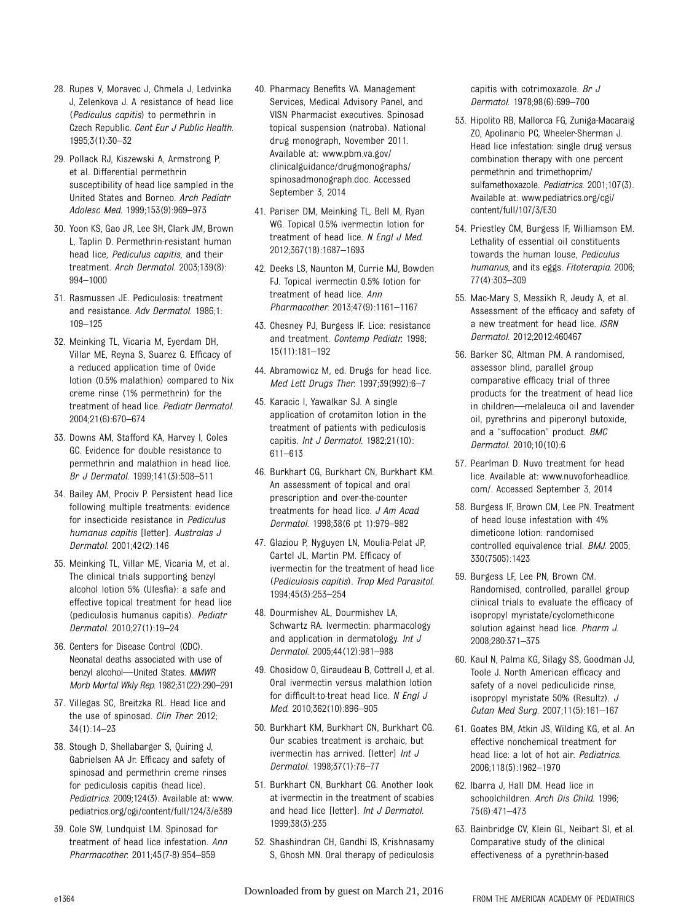- 28. Rupes V, Moravec J, Chmela J, Ledvinka J, Zelenkova J. A resistance of head lice (Pediculus capitis) to permethrin in Czech Republic. Cent Eur J Public Health. 1995;3(1):30–32
- 29. Pollack RJ, Kiszewski A, Armstrong P, et al. Differential permethrin susceptibility of head lice sampled in the United States and Borneo. Arch Pediatr Adolesc Med. 1999;153(9):969–973
- 30. Yoon KS, Gao JR, Lee SH, Clark JM, Brown L, Taplin D. Permethrin-resistant human head lice, Pediculus capitis, and their treatment. Arch Dermatol. 2003;139(8): 994–1000
- 31. Rasmussen JE. Pediculosis: treatment and resistance. Adv Dermatol. 1986;1: 109–125
- 32. Meinking TL, Vicaria M, Eyerdam DH, Villar ME, Reyna S, Suarez G. Efficacy of a reduced application time of Ovide lotion (0.5% malathion) compared to Nix creme rinse (1% permethrin) for the treatment of head lice. Pediatr Dermatol. 2004;21(6):670–674
- 33. Downs AM, Stafford KA, Harvey I, Coles GC. Evidence for double resistance to permethrin and malathion in head lice. Br J Dermatol. 1999;141(3):508–511
- 34. Bailey AM, Prociv P. Persistent head lice following multiple treatments: evidence for insecticide resistance in Pediculus humanus capitis [letter]. Australas J Dermatol. 2001;42(2):146
- 35. Meinking TL, Villar ME, Vicaria M, et al. The clinical trials supporting benzyl alcohol lotion 5% (Ulesfia): a safe and effective topical treatment for head lice (pediculosis humanus capitis). Pediatr Dermatol. 2010;27(1):19–24
- 36. Centers for Disease Control (CDC). Neonatal deaths associated with use of benzyl alcohol—United States. MMWR Morb Mortal Wkly Rep. 1982;31(22):290–291
- 37. Villegas SC, Breitzka RL. Head lice and the use of spinosad. Clin Ther. 2012; 34(1):14–23
- 38. Stough D, Shellabarger S, Quiring J, Gabrielsen AA Jr. Efficacy and safety of spinosad and permethrin creme rinses for pediculosis capitis (head lice). Pediatrics. 2009;124(3). Available at: www. pediatrics.org/cgi/content/full/124/3/e389
- 39. Cole SW, Lundquist LM. Spinosad for treatment of head lice infestation. Ann Pharmacother. 2011;45(7-8):954–959
- 40. Pharmacy Benefits VA. Management Services, Medical Advisory Panel, and VISN Pharmacist executives. Spinosad topical suspension (natroba). National drug monograph, November 2011. Available at: [www.pbm.va.gov/](http://www.pbm.va.gov/clinicalguidance/drugmonographs/spinosadmonograph.doc) [clinicalguidance/drugmonographs/](http://www.pbm.va.gov/clinicalguidance/drugmonographs/spinosadmonograph.doc) [spinosadmonograph.doc.](http://www.pbm.va.gov/clinicalguidance/drugmonographs/spinosadmonograph.doc) Accessed September 3, 2014
- 41. Pariser DM, Meinking TL, Bell M, Ryan WG. Topical 0.5% ivermectin lotion for treatment of head lice. N Engl J Med. 2012;367(18):1687–1693
- 42. Deeks LS, Naunton M, Currie MJ, Bowden FJ. Topical ivermectin 0.5% lotion for treatment of head lice. Ann Pharmacother. 2013;47(9):1161–1167
- 43. Chesney PJ, Burgess IF. Lice: resistance and treatment. Contemp Pediatr. 1998; 15(11):181–192
- 44. Abramowicz M, ed. Drugs for head lice. Med Lett Drugs Ther. 1997;39(992):6–7
- 45. Karacic I, Yawalkar SJ. A single application of crotamiton lotion in the treatment of patients with pediculosis capitis. Int J Dermatol. 1982;21(10): 611–613
- 46. Burkhart CG, Burkhart CN, Burkhart KM. An assessment of topical and oral prescription and over-the-counter treatments for head lice. J Am Acad Dermatol. 1998;38(6 pt 1):979–982
- 47. Glaziou P, Nyguyen LN, Moulia-Pelat JP, Cartel JL, Martin PM. Efficacy of ivermectin for the treatment of head lice (Pediculosis capitis). Trop Med Parasitol. 1994;45(3):253–254
- 48. Dourmishev AL, Dourmishev LA, Schwartz RA. Ivermectin: pharmacology and application in dermatology. Int J Dermatol. 2005;44(12):981–988
- 49. Chosidow O, Giraudeau B, Cottrell J, et al. Oral ivermectin versus malathion lotion for difficult-to-treat head lice. N Engl J Med. 2010;362(10):896–905
- 50. Burkhart KM, Burkhart CN, Burkhart CG. Our scabies treatment is archaic, but ivermectin has arrived. [letter] Int J Dermatol. 1998;37(1):76–77
- 51. Burkhart CN, Burkhart CG. Another look at ivermectin in the treatment of scabies and head lice [letter]. Int J Dermatol. 1999;38(3):235
- 52. Shashindran CH, Gandhi IS, Krishnasamy S, Ghosh MN. Oral therapy of pediculosis

capitis with cotrimoxazole. Br J Dermatol. 1978;98(6):699–700

- 53. Hipolito RB, Mallorca FG, Zuniga-Macaraig ZO, Apolinario PC, Wheeler-Sherman J. Head lice infestation: single drug versus combination therapy with one percent permethrin and trimethoprim/ sulfamethoxazole. Pediatrics. 2001;107(3). Available at: [www.pediatrics.org/cgi/](http://www.pediatrics.org/cgi/content/full/107/3/E30) [content/full/107/3/E30](http://www.pediatrics.org/cgi/content/full/107/3/E30)
- 54. Priestley CM, Burgess IF, Williamson EM. Lethality of essential oil constituents towards the human louse, Pediculus humanus, and its eggs. Fitoterapia. 2006; 77(4):303–309
- 55. Mac-Mary S, Messikh R, Jeudy A, et al. Assessment of the efficacy and safety of a new treatment for head lice. ISRN Dermatol. 2012;2012:460467
- 56. Barker SC, Altman PM. A randomised, assessor blind, parallel group comparative efficacy trial of three products for the treatment of head lice in children—melaleuca oil and lavender oil, pyrethrins and piperonyl butoxide, and a "suffocation" product. BMC Dermatol. 2010;10(10):6
- 57. Pearlman D. Nuvo treatment for head lice. Available at: [www.nuvoforheadlice.](http://www.nuvoforheadlice.com/) [com/.](http://www.nuvoforheadlice.com/) Accessed September 3, 2014
- 58. Burgess IF, Brown CM, Lee PN. Treatment of head louse infestation with 4% dimeticone lotion: randomised controlled equivalence trial. BMJ. 2005; 330(7505):1423
- 59. Burgess LF, Lee PN, Brown CM. Randomised, controlled, parallel group clinical trials to evaluate the efficacy of isopropyl myristate/cyclomethicone solution against head lice. Pharm J. 2008;280:371–375
- 60. Kaul N, Palma KG, Silagy SS, Goodman JJ, Toole J. North American efficacy and safety of a novel pediculicide rinse, isopropyl myristate 50% (Resultz). J Cutan Med Surg. 2007;11(5):161–167
- 61. Goates BM, Atkin JS, Wilding KG, et al. An effective nonchemical treatment for head lice: a lot of hot air. Pediatrics. 2006;118(5):1962–1970
- 62. Ibarra J, Hall DM. Head lice in schoolchildren. Arch Dis Child. 1996; 75(6):471–473
- 63. Bainbridge CV, Klein GL, Neibart SI, et al. Comparative study of the clinical effectiveness of a pyrethrin-based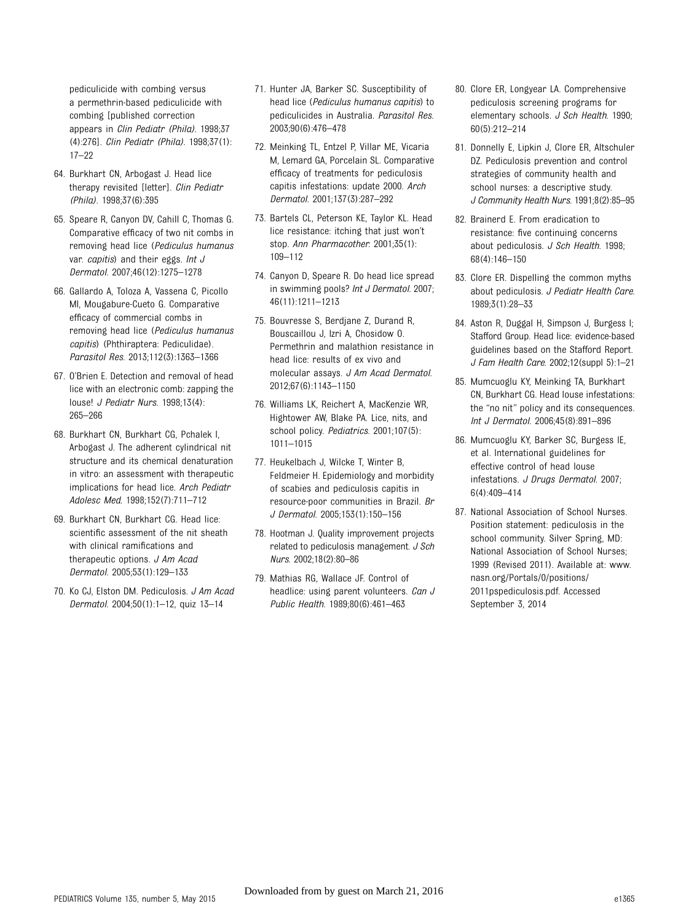pediculicide with combing versus a permethrin-based pediculicide with combing [published correction appears in Clin Pediatr (Phila). 1998;37 (4):276]. Clin Pediatr (Phila). 1998;37(1): 17–22

- 64. Burkhart CN, Arbogast J. Head lice therapy revisited [letter]. Clin Pediatr (Phila). 1998;37(6):395
- 65. Speare R, Canyon DV, Cahill C, Thomas G. Comparative efficacy of two nit combs in removing head lice (Pediculus humanus var. capitis) and their eggs. Int J Dermatol. 2007;46(12):1275–1278
- 66. Gallardo A, Toloza A, Vassena C, Picollo MI, Mougabure-Cueto G. Comparative efficacy of commercial combs in removing head lice (Pediculus humanus capitis) (Phthiraptera: Pediculidae). Parasitol Res. 2013;112(3):1363–1366
- 67. O'Brien E. Detection and removal of head lice with an electronic comb: zapping the louse! J Pediatr Nurs. 1998;13(4): 265–266
- 68. Burkhart CN, Burkhart CG, Pchalek I, Arbogast J. The adherent cylindrical nit structure and its chemical denaturation in vitro: an assessment with therapeutic implications for head lice. Arch Pediatr Adolesc Med. 1998;152(7):711–712
- 69. Burkhart CN, Burkhart CG. Head lice: scientific assessment of the nit sheath with clinical ramifications and therapeutic options. J Am Acad Dermatol. 2005;53(1):129–133
- 70. Ko CJ, Elston DM. Pediculosis. J Am Acad Dermatol. 2004;50(1):1–12, quiz 13–14
- 71. Hunter JA, Barker SC. Susceptibility of head lice (Pediculus humanus capitis) to pediculicides in Australia. Parasitol Res. 2003;90(6):476–478
- 72. Meinking TL, Entzel P, Villar ME, Vicaria M, Lemard GA, Porcelain SL. Comparative efficacy of treatments for pediculosis capitis infestations: update 2000. Arch Dermatol. 2001;137(3):287–292
- 73. Bartels CL, Peterson KE, Taylor KL. Head lice resistance: itching that just won't stop. Ann Pharmacother. 2001;35(1): 109–112
- 74. Canyon D, Speare R. Do head lice spread in swimming pools? Int J Dermatol. 2007; 46(11):1211–1213
- 75. Bouvresse S, Berdjane Z, Durand R, Bouscaillou J, Izri A, Chosidow O. Permethrin and malathion resistance in head lice: results of ex vivo and molecular assays. J Am Acad Dermatol. 2012;67(6):1143–1150
- 76. Williams LK, Reichert A, MacKenzie WR, Hightower AW, Blake PA. Lice, nits, and school policy. Pediatrics. 2001;107(5): 1011–1015
- 77. Heukelbach J, Wilcke T, Winter B, Feldmeier H. Epidemiology and morbidity of scabies and pediculosis capitis in resource-poor communities in Brazil. Br J Dermatol. 2005;153(1):150–156
- 78. Hootman J. Quality improvement projects related to pediculosis management. J Sch Nurs. 2002;18(2):80–86
- 79. Mathias RG, Wallace JF. Control of headlice: using parent volunteers. Can J Public Health. 1989;80(6):461–463
- 80. Clore ER, Longyear LA. Comprehensive pediculosis screening programs for elementary schools. J Sch Health. 1990; 60(5):212–214
- 81. Donnelly E, Lipkin J, Clore ER, Altschuler DZ. Pediculosis prevention and control strategies of community health and school nurses: a descriptive study. J Community Health Nurs. 1991;8(2):85–95
- 82. Brainerd E. From eradication to resistance: five continuing concerns about pediculosis. J Sch Health. 1998; 68(4):146–150
- 83. Clore ER. Dispelling the common myths about pediculosis. J Pediatr Health Care. 1989;3(1):28–33
- 84. Aston R, Duggal H, Simpson J, Burgess I; Stafford Group. Head lice: evidence-based guidelines based on the Stafford Report. J Fam Health Care. 2002;12(suppl 5):1–21
- 85. Mumcuoglu KY, Meinking TA, Burkhart CN, Burkhart CG. Head louse infestations: the "no nit" policy and its consequences. Int J Dermatol. 2006;45(8):891–896
- 86. Mumcuoglu KY, Barker SC, Burgess IE, et al. International guidelines for effective control of head louse infestations. J Drugs Dermatol. 2007; 6(4):409–414
- 87. National Association of School Nurses. Position statement: pediculosis in the school community. Silver Spring, MD: National Association of School Nurses; 1999 (Revised 2011). Available at: [www.](http://www.nasn.org/Portals/0/positions/2011pspediculosis.pdf) [nasn.org/Portals/0/positions/](http://www.nasn.org/Portals/0/positions/2011pspediculosis.pdf) [2011pspediculosis.pdf](http://www.nasn.org/Portals/0/positions/2011pspediculosis.pdf). Accessed September 3, 2014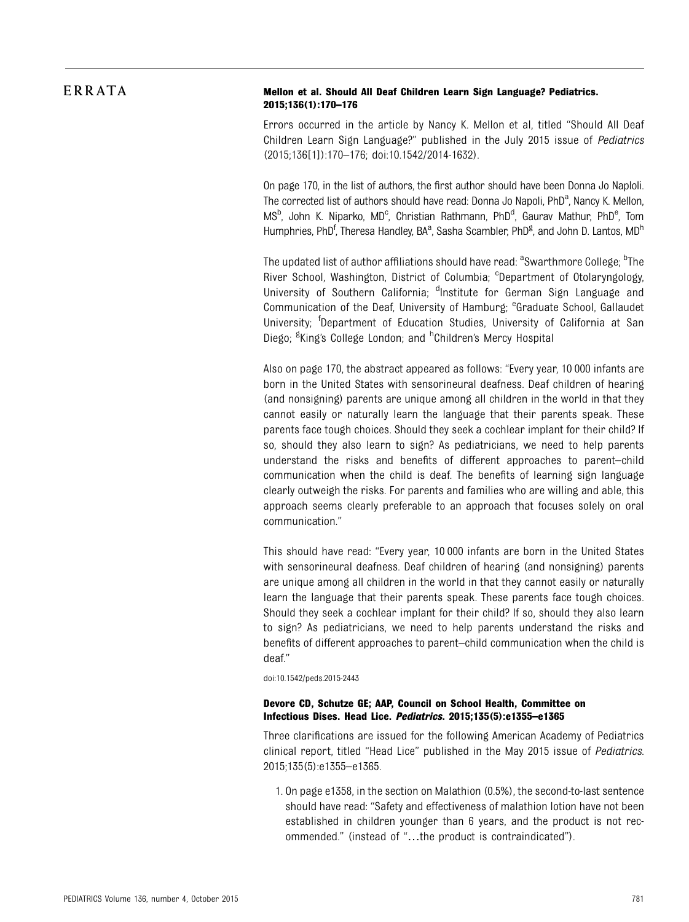### ERRATA

#### Mellon et al. Should All Deaf Children Learn Sign Language? Pediatrics. 2015;136(1):170–176

Errors occurred in the article by Nancy K. Mellon et al, titled "Should All Deaf Children Learn Sign Language?" published in the July 2015 issue of Pediatrics (2015;136[1]):170–176; doi:10.1542/2014-1632).

On page 170, in the list of authors, the first author should have been Donna Jo Naploli. The corrected list of authors should have read: Donna Jo Napoli, PhD<sup>a</sup>, Nancy K. Mellon, MS<sup>b</sup>, John K. Niparko, MD<sup>c</sup>, Christian Rathmann, PhD<sup>d</sup>, Gaurav Mathur, PhD<sup>e</sup>, Tom Humphries, PhD<sup>f</sup>, Theresa Handley, BA<sup>a</sup>, Sasha Scambler, PhD<sup>g</sup>, and John D. Lantos, MD<sup>h</sup>

The updated list of author affiliations should have read: <sup>a</sup>Swarthmore College; <sup>b</sup>The River School, Washington, District of Columbia; <sup>c</sup>Department of Otolaryngology, University of Southern California; <sup>d</sup>Institute for German Sign Language and Communication of the Deaf, University of Hamburg; <sup>e</sup>Graduate School, Gallaudet University; <sup>f</sup>Department of Education Studies, University of California at San Diego; <sup>g</sup>King's College London; and <sup>h</sup>Children's Mercy Hospital

Also on page 170, the abstract appeared as follows: "Every year, 10 000 infants are born in the United States with sensorineural deafness. Deaf children of hearing (and nonsigning) parents are unique among all children in the world in that they cannot easily or naturally learn the language that their parents speak. These parents face tough choices. Should they seek a cochlear implant for their child? If so, should they also learn to sign? As pediatricians, we need to help parents understand the risks and benefits of different approaches to parent–child communication when the child is deaf. The benefits of learning sign language clearly outweigh the risks. For parents and families who are willing and able, this approach seems clearly preferable to an approach that focuses solely on oral communication."

This should have read: "Every year, 10 000 infants are born in the United States with sensorineural deafness. Deaf children of hearing (and nonsigning) parents are unique among all children in the world in that they cannot easily or naturally learn the language that their parents speak. These parents face tough choices. Should they seek a cochlear implant for their child? If so, should they also learn to sign? As pediatricians, we need to help parents understand the risks and benefits of different approaches to parent–child communication when the child is deaf."

doi:10.1542/peds.2015-2443

#### Devore CD, Schutze GE; AAP, Council on School Health, Committee on Infectious Dises. Head Lice. Pediatrics. 2015;135(5):e1355–e1365

Three clarifications are issued for the following American Academy of Pediatrics clinical report, titled "Head Lice" published in the May 2015 issue of Pediatrics. 2015;135(5):e1355–e1365.

1. On page e1358, in the section on Malathion (0.5%), the second-to-last sentence should have read: "Safety and effectiveness of malathion lotion have not been established in children younger than 6 years, and the product is not recommended." (instead of "…the product is contraindicated").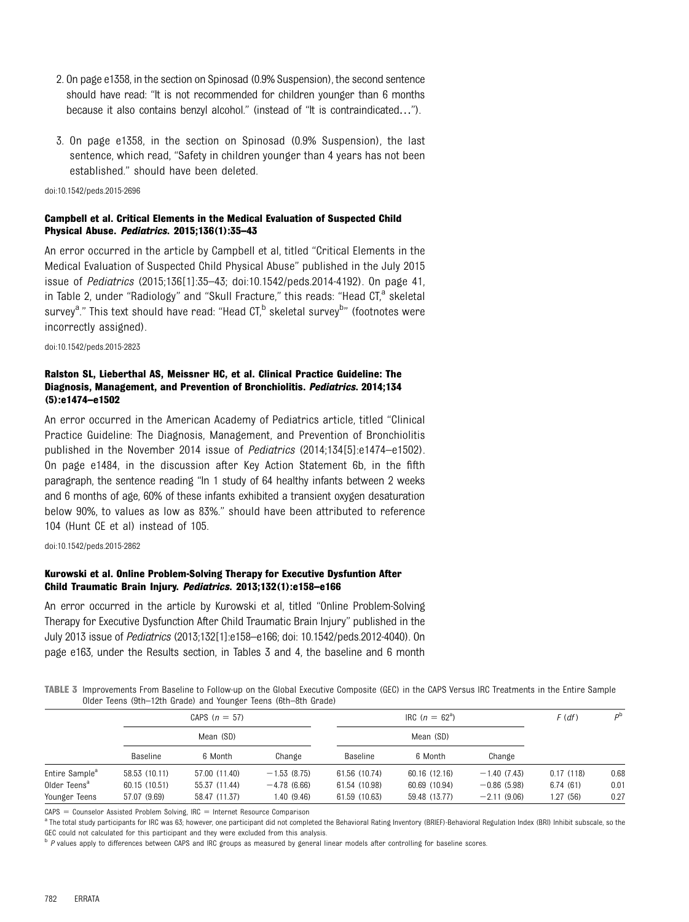- 2. On page e1358, in the section on Spinosad (0.9% Suspension), the second sentence should have read: "It is not recommended for children younger than 6 months because it also contains benzyl alcohol." (instead of "It is contraindicated…").
- 3. On page e1358, in the section on Spinosad (0.9% Suspension), the last sentence, which read, "Safety in children younger than 4 years has not been established." should have been deleted.

doi:10.1542/peds.2015-2696

#### Campbell et al. Critical Elements in the Medical Evaluation of Suspected Child Physical Abuse. Pediatrics. 2015;136(1):35–43

An error occurred in the article by Campbell et al, titled "Critical Elements in the Medical Evaluation of Suspected Child Physical Abuse" published in the July 2015 issue of Pediatrics (2015;136[1]:35–43; doi:10.1542/peds.2014-4192). On page 41, in Table 2, under "Radiology" and "Skull Fracture," this reads: "Head  $CT<sup>a</sup>$  skeletal survey<sup>a</sup>." This text should have read: "Head CT,<sup>b</sup> skeletal survey<sup>b</sup>" (footnotes were incorrectly assigned).

doi:10.1542/peds.2015-2823

#### Ralston SL, Lieberthal AS, Meissner HC, et al. Clinical Practice Guideline: The Diagnosis, Management, and Prevention of Bronchiolitis. Pediatrics. 2014;134 (5):e1474–e1502

An error occurred in the American Academy of Pediatrics article, titled "Clinical Practice Guideline: The Diagnosis, Management, and Prevention of Bronchiolitis published in the November 2014 issue of Pediatrics (2014;134[5]:e1474–e1502). On page e1484, in the discussion after Key Action Statement 6b, in the fifth paragraph, the sentence reading "In 1 study of 64 healthy infants between 2 weeks and 6 months of age, 60% of these infants exhibited a transient oxygen desaturation below 90%, to values as low as 83%." should have been attributed to reference 104 (Hunt CE et al) instead of 105.

doi:10.1542/peds.2015-2862

#### Kurowski et al. Online Problem-Solving Therapy for Executive Dysfuntion After Child Traumatic Brain Injury. Pediatrics. 2013;132(1):e158–e166

An error occurred in the article by Kurowski et al, titled "Online Problem-Solving Therapy for Executive Dysfunction After Child Traumatic Brain Injury" published in the July 2013 issue of Pediatrics (2013;132[1]:e158–e166; doi: 10.1542/peds.2012-4040). On page e163, under the Results section, in Tables 3 and 4, the baseline and 6 month

| TABLE 3 Improvements From Baseline to Follow-up on the Global Executive Composite (GEC) in the CAPS Versus IRC Treatments in the Entire Sample |  |  |
|------------------------------------------------------------------------------------------------------------------------------------------------|--|--|
| Older Teens (9th-12th Grade) and Younger Teens (6th-8th Grade)                                                                                 |  |  |

|                            |               | CAPS $(n = 57)$ |               |               | IRC $(n = 62^{\circ})$ |               | F(df)     | D <sup>b</sup> |
|----------------------------|---------------|-----------------|---------------|---------------|------------------------|---------------|-----------|----------------|
|                            | Mean (SD)     |                 |               |               | Mean (SD)              |               |           |                |
|                            | Baseline      | 6 Month         | Change        | Baseline      | 6 Month                | Change        |           |                |
| Entire Sample <sup>a</sup> | 58.53 (10.11) | 57.00 (11.40)   | $-1.53(8.75)$ | 61.56 (10.74) | 60.16 (12.16)          | $-1.40(7.43)$ | 0.17(118) | 0.68           |
| Older Teens <sup>a</sup>   | 60.15 (10.51) | 55.37 (11.44)   | $-4.78(6.66)$ | 61.54 (10.98) | 60.69 (10.94)          | $-0.86(5.98)$ | 6.74(61)  | 0.01           |
| Younger Teens              | 57.07 (9.69)  | 58.47 (11.37)   | 1.40(9.46)    | 61.59 (10.63) | 59.48 (13.77)          | $-2.11(9.06)$ | 1.27 (56) | 0.27           |

 $CAPS = Connselor Assisted Problem Solving, IRC = Internet Resource Comparison$ 

<sup>a</sup> The total study participants for IRC was 63; however, one participant did not completed the Behavioral Rating Inventory (BRIEF)-Behavioral Regulation Index (BRI) Inhibit subscale, so the GEC could not calculated for this participant and they were excluded from this analysis.

**b** P values apply to differences between CAPS and IRC groups as measured by general linear models after controlling for baseline scores.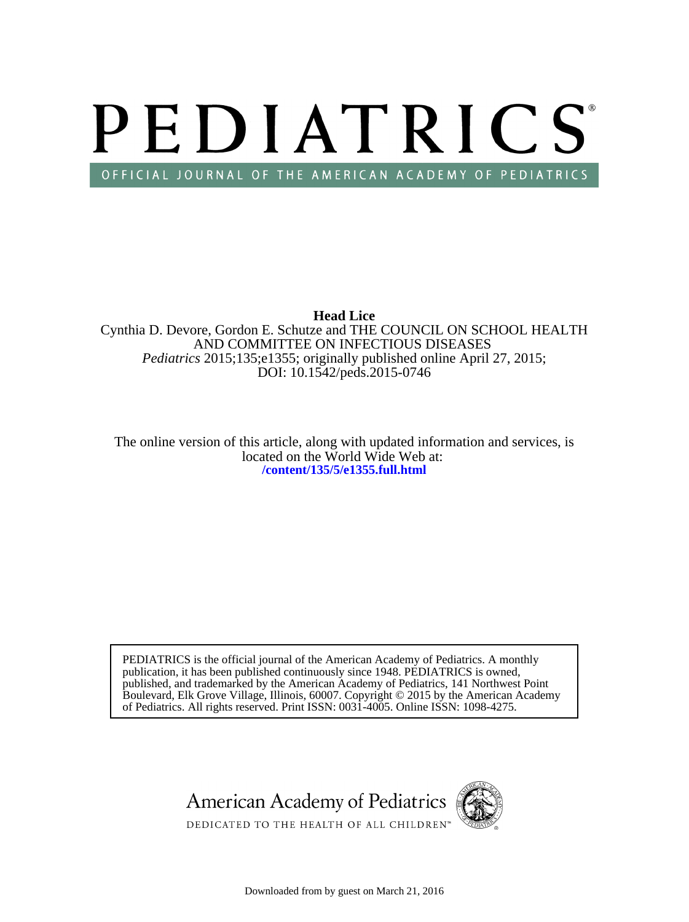# PEDIATRICS OFFICIAL JOURNAL OF THE AMERICAN ACADEMY OF PEDIATRICS

DOI: 10.1542/peds.2015-0746 *Pediatrics* 2015;135;e1355; originally published online April 27, 2015; AND COMMITTEE ON INFECTIOUS DISEASES Cynthia D. Devore, Gordon E. Schutze and THE COUNCIL ON SCHOOL HEALTH **Head Lice**

**/content/135/5/e1355.full.html** located on the World Wide Web at: The online version of this article, along with updated information and services, is

of Pediatrics. All rights reserved. Print ISSN: 0031-4005. Online ISSN: 1098-4275. Boulevard, Elk Grove Village, Illinois, 60007. Copyright © 2015 by the American Academy published, and trademarked by the American Academy of Pediatrics, 141 Northwest Point publication, it has been published continuously since 1948. PEDIATRICS is owned, PEDIATRICS is the official journal of the American Academy of Pediatrics. A monthly



Downloaded from by guest on March 21, 2016